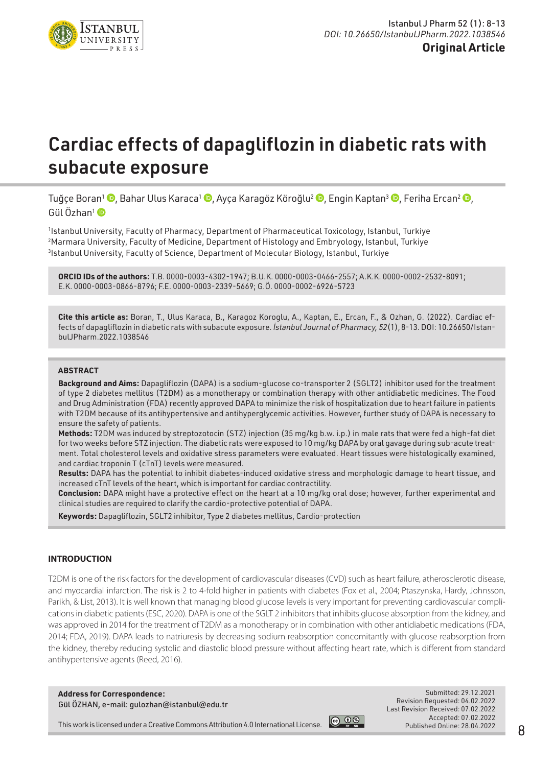

# Cardiac effects of dapagliflozin in diabetic rats with subacute exposure

Tuğce Boran<sup>1</sup> (**D**, Bahar Ulus Karaca<sup>1</sup> (**D**, Ayça Karagöz Köroğlu<sup>2</sup> (**D**, Engin Kaptan<sup>3</sup> (**D**, Feriha Ercan<sup>2</sup> (**D**, Gül Özhan<sup>1</sup>

1 Istanbul University, Faculty of Pharmacy, Department of Pharmaceutical Toxicology, Istanbul, Turkiye 2 Marmara University, Faculty of Medicine, Department of Histology and Embryology, Istanbul, Turkiye 3 Istanbul University, Faculty of Science, Department of Molecular Biology, Istanbul, Turkiye

**ORCID IDs of the authors:** T.B. 0000-0003-4302-1947; B.U.K. 0000-0003-0466-2557; A.K.K. 0000-0002-2532-8091; E.K. 0000-0003-0866-8796; F.E. 0000-0003-2339-5669; G.Ö. 0000-0002-6926-5723

**Cite this article as:** Boran, T., Ulus Karaca, B., Karagoz Koroglu, A., Kaptan, E., Ercan, F., & Ozhan, G. (2022). Cardiac effects of dapagliflozin in diabetic rats with subacute exposure. *İstanbul Journal of Pharmacy, 52*(1), 8-13. DOI: 10.26650/IstanbulJPharm.2022.1038546

## **ABSTRACT**

**Background and Aims:** Dapagliflozin (DAPA) is a sodium-glucose co-transporter 2 (SGLT2) inhibitor used for the treatment of type 2 diabetes mellitus (T2DM) as a monotherapy or combination therapy with other antidiabetic medicines. The Food and Drug Administration (FDA) recently approved DAPA to minimize the risk of hospitalization due to heart failure in patients with T2DM because of its antihypertensive and antihyperglycemic activities. However, further study of DAPA is necessary to ensure the safety of patients.

**Methods:** T2DM was induced by streptozotocin (STZ) injection (35 mg/kg b.w. i.p.) in male rats that were fed a high-fat diet for two weeks before STZ injection. The diabetic rats were exposed to 10 mg/kg DAPA by oral gavage during sub-acute treatment. Total cholesterol levels and oxidative stress parameters were evaluated. Heart tissues were histologically examined, and cardiac troponin T (cTnT) levels were measured.

**Results:** DAPA has the potential to inhibit diabetes-induced oxidative stress and morphologic damage to heart tissue, and increased cTnT levels of the heart, which is important for cardiac contractility.

**Conclusion:** DAPA might have a protective effect on the heart at a 10 mg/kg oral dose; however, further experimental and clinical studies are required to clarify the cardio-protective potential of DAPA.

**Keywords:** Dapagliflozin, SGLT2 inhibitor, Type 2 diabetes mellitus, Cardio-protection

#### **INTRODUCTION**

T2DM is one of the risk factors for the development of cardiovascular diseases (CVD) such as heart failure, atherosclerotic disease, and myocardial infarction. The risk is 2 to 4-fold higher in patients with diabetes (Fox et al., 2004; Ptaszynska, Hardy, Johnsson, Parikh, & List, 2013). It is well known that managing blood glucose levels is very important for preventing cardiovascular complications in diabetic patients (ESC, 2020). DAPA is one of the SGLT 2 inhibitors that inhibits glucose absorption from the kidney, and was approved in 2014 for the treatment of T2DM as a monotherapy or in combination with other antidiabetic medications (FDA, 2014; FDA, 2019). DAPA leads to natriuresis by decreasing sodium reabsorption concomitantly with glucose reabsorption from the kidney, thereby reducing systolic and diastolic blood pressure without affecting heart rate, which is different from standard antihypertensive agents (Reed, 2016).

**Address for Correspondence:**  Gül ÖZHAN, e-mail: gulozhan@istanbul@edu.tr



Submitted: 29.12.2021 Revision Requested: 04.02.2022 Last Revision Received: 07.02.2022 Accepted: 07.02.2022 Published Online: 28.04.2022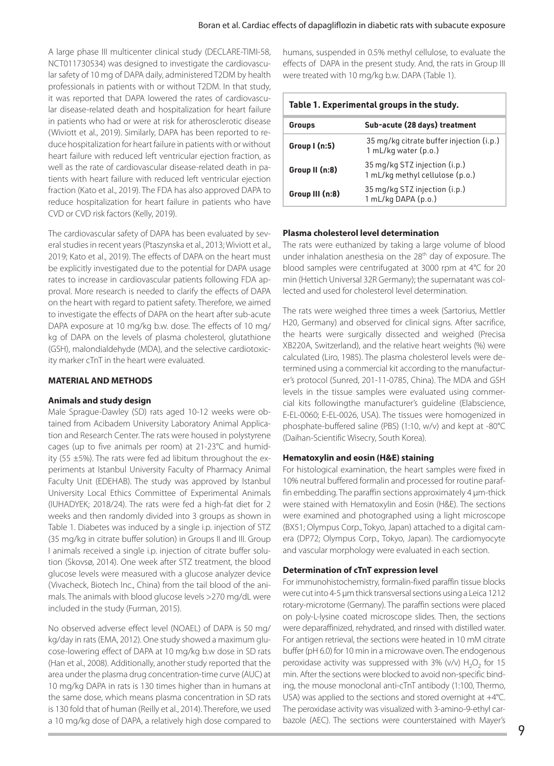A large phase III multicenter clinical study (DECLARE-TIMI-58, NCT011730534) was designed to investigate the cardiovascular safety of 10 mg of DAPA daily, administered T2DM by health professionals in patients with or without T2DM. In that study, it was reported that DAPA lowered the rates of cardiovascular disease-related death and hospitalization for heart failure in patients who had or were at risk for atherosclerotic disease (Wiviott et al., 2019). Similarly, DAPA has been reported to reduce hospitalization for heart failure in patients with or without heart failure with reduced left ventricular ejection fraction, as well as the rate of cardiovascular disease-related death in patients with heart failure with reduced left ventricular ejection fraction (Kato et al., 2019). The FDA has also approved DAPA to reduce hospitalization for heart failure in patients who have CVD or CVD risk factors (Kelly, 2019).

The cardiovascular safety of DAPA has been evaluated by several studies in recent years (Ptaszynska et al., 2013; Wiviott et al., 2019; Kato et al., 2019). The effects of DAPA on the heart must be explicitly investigated due to the potential for DAPA usage rates to increase in cardiovascular patients following FDA approval. More research is needed to clarify the effects of DAPA on the heart with regard to patient safety. Therefore, we aimed to investigate the effects of DAPA on the heart after sub-acute DAPA exposure at 10 mg/kg b.w. dose. The effects of 10 mg/ kg of DAPA on the levels of plasma cholesterol, glutathione (GSH), malondialdehyde (MDA), and the selective cardiotoxicity marker cTnT in the heart were evaluated.

## **MATERIAL AND METHODS**

## **Animals and study design**

Male Sprague-Dawley (SD) rats aged 10-12 weeks were obtained from Acibadem University Laboratory Animal Application and Research Center. The rats were housed in polystyrene cages (up to five animals per room) at 21-23°C and humidity (55  $\pm$ 5%). The rats were fed ad libitum throughout the experiments at Istanbul University Faculty of Pharmacy Animal Faculty Unit (EDEHAB). The study was approved by Istanbul University Local Ethics Committee of Experimental Animals (IUHADYEK; 2018/24). The rats were fed a high-fat diet for 2 weeks and then randomly divided into 3 groups as shown in Table 1. Diabetes was induced by a single i.p. injection of STZ (35 mg/kg in citrate buffer solution) in Groups II and III. Group I animals received a single i.p. injection of citrate buffer solution (Skovsø, 2014). One week after STZ treatment, the blood glucose levels were measured with a glucose analyzer device (Vivacheck, Biotech Inc., China) from the tail blood of the animals. The animals with blood glucose levels >270 mg/dL were included in the study (Furman, 2015).

No observed adverse effect level (NOAEL) of DAPA is 50 mg/ kg/day in rats (EMA, 2012). One study showed a maximum glucose-lowering effect of DAPA at 10 mg/kg b.w dose in SD rats (Han et al., 2008). Additionally, another study reported that the area under the plasma drug concentration-time curve (AUC) at 10 mg/kg DAPA in rats is 130 times higher than in humans at the same dose, which means plasma concentration in SD rats is 130 fold that of human (Reilly et al., 2014). Therefore, we used a 10 mg/kg dose of DAPA, a relatively high dose compared to

humans, suspended in 0.5% methyl cellulose, to evaluate the effects of DAPA in the present study. And, the rats in Group III were treated with 10 mg/kg b.w. DAPA (Table 1).

| Table 1. Experimental groups in the study. |                                                                  |
|--------------------------------------------|------------------------------------------------------------------|
| <b>Groups</b>                              | Sub-acute (28 days) treatment                                    |
| Group I (n:5)                              | 35 mg/kg citrate buffer injection (i.p.)<br>1 mL/kg water (p.o.) |
| Group II (n:8)                             | 35 mg/kg STZ injection (i.p.)<br>1 mL/kg methyl cellulose (p.o.) |
| Group III (n:8)                            | 35 mg/kg STZ injection (i.p.)<br>1 mL/kg DAPA (p.o.)             |

## **Plasma cholesterol level determination**

The rats were euthanized by taking a large volume of blood under inhalation anesthesia on the 28<sup>th</sup> day of exposure. The blood samples were centrifugated at 3000 rpm at 4°C for 20 min (Hettich Universal 32R Germany); the supernatant was collected and used for cholesterol level determination.

The rats were weighed three times a week (Sartorius, Mettler H20, Germany) and observed for clinical signs. After sacrifice, the hearts were surgically dissected and weighed (Precisa XB220A, Switzerland), and the relative heart weights (%) were calculated (Liro, 1985). The plasma cholesterol levels were determined using a commercial kit according to the manufacturer's protocol (Sunred, 201-11-0785, China). The MDA and GSH levels in the tissue samples were evaluated using commercial kits followingthe manufacturer's guideline (Elabscience, E-EL-0060; E-EL-0026, USA). The tissues were homogenized in phosphate-buffered saline (PBS) (1:10, w/v) and kept at -80°C (Daihan-Scientific Wisecry, South Korea).

## **Hematoxylin and eosin (H&E) staining**

For histological examination, the heart samples were fixed in 10% neutral buffered formalin and processed for routine paraffin embedding. The paraffin sections approximately 4 µm-thick were stained with Hematoxylin and Eosin (H&E). The sections were examined and photographed using a light microscope (BX51; Olympus Corp., Tokyo, Japan) attached to a digital camera (DP72; Olympus Corp., Tokyo, Japan). The cardiomyocyte and vascular morphology were evaluated in each section.

## **Determination of cTnT expression level**

For immunohistochemistry, formalin-fixed paraffin tissue blocks were cut into 4-5 µm thick transversal sections using a Leica 1212 rotary-microtome (Germany). The paraffin sections were placed on poly-L-lysine coated microscope slides. Then, the sections were deparaffinized, rehydrated, and rinsed with distilled water. For antigen retrieval, the sections were heated in 10 mM citrate buffer (pH 6.0) for 10 min in a microwave oven. The endogenous peroxidase activity was suppressed with 3% (v/v)  $H_2O_2$  for 15 min. After the sections were blocked to avoid non-specific binding, the mouse monoclonal anti-cTnT antibody (1:100, Thermo, USA) was applied to the sections and stored overnight at +4°C. The peroxidase activity was visualized with 3-amino-9-ethyl carbazole (AEC). The sections were counterstained with Mayer's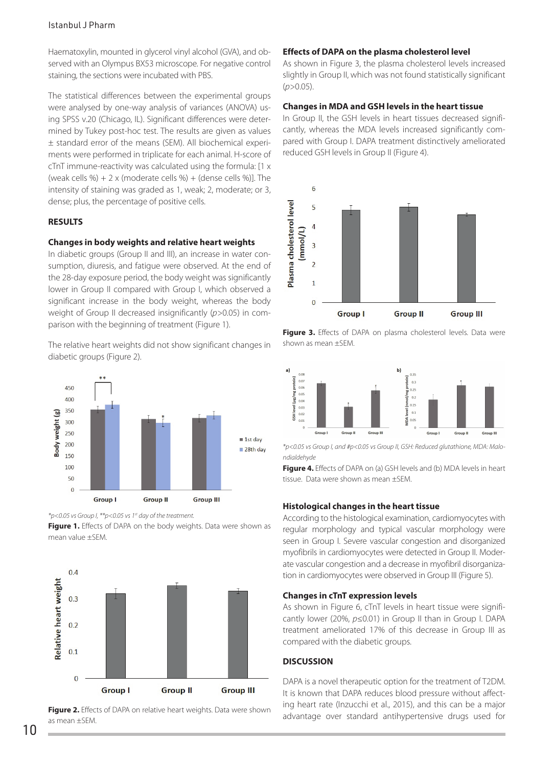## Istanbul J Pharm

Haematoxylin, mounted in glycerol vinyl alcohol (GVA), and observed with an Olympus BX53 microscope. For negative control staining, the sections were incubated with PBS.

The statistical differences between the experimental groups were analysed by one-way analysis of variances (ANOVA) using SPSS v.20 (Chicago, IL). Significant differences were determined by Tukey post-hoc test. The results are given as values ± standard error of the means (SEM). All biochemical experiments were performed in triplicate for each animal. H-score of cTnT immune-reactivity was calculated using the formula: [1 x (weak cells %) + 2 x (moderate cells %) + (dense cells %)]. The intensity of staining was graded as 1, weak; 2, moderate; or 3, dense; plus, the percentage of positive cells.

## **RESULTS**

## **Changes in body weights and relative heart weights**

In diabetic groups (Group II and III), an increase in water consumption, diuresis, and fatigue were observed. At the end of the 28-day exposure period, the body weight was significantly lower in Group II compared with Group I, which observed a significant increase in the body weight, whereas the body weight of Group II decreased insignificantly (*p>*0.05) in comparison with the beginning of treatment (Figure 1).

The relative heart weights did not show significant changes in diabetic groups (Figure 2).



*\*p<0.05 vs Group I, \*\*p<0.05 vs 1st day of the treatment.*

Figure 1. Effects of DAPA on the body weights. Data were shown as mean value ±SEM.



Figure 2. Effects of DAPA on relative heart weights. Data were shown as mean ±SEM.

## **Effects of DAPA on the plasma cholesterol level**

As shown in Figure 3, the plasma cholesterol levels increased slightly in Group II, which was not found statistically significant (*p>*0.05).

## **Changes in MDA and GSH levels in the heart tissue**

In Group II, the GSH levels in heart tissues decreased significantly, whereas the MDA levels increased significantly compared with Group I. DAPA treatment distinctively ameliorated reduced GSH levels in Group II (Figure 4).







*\*p<0.05 vs Group I, and #p<0.05 vs Group II, GSH: Reduced glutathione, MDA: Malondialdehyde*

**Figure 4.** Effects of DAPA on (a) GSH levels and (b) MDA levels in heart tissue. Data were shown as mean ±SEM.

## **Histological changes in the heart tissue**

According to the histological examination, cardiomyocytes with regular morphology and typical vascular morphology were seen in Group I. Severe vascular congestion and disorganized myofibrils in cardiomyocytes were detected in Group II. Moderate vascular congestion and a decrease in myofibril disorganization in cardiomyocytes were observed in Group III (Figure 5).

## **Changes in cTnT expression levels**

As shown in Figure 6, cTnT levels in heart tissue were significantly lower (20%, *p≤*0.01) in Group II than in Group I. DAPA treatment ameliorated 17% of this decrease in Group III as compared with the diabetic groups.

#### **DISCUSSION**

DAPA is a novel therapeutic option for the treatment of T2DM. It is known that DAPA reduces blood pressure without affecting heart rate (Inzucchi et al., 2015), and this can be a major advantage over standard antihypertensive drugs used for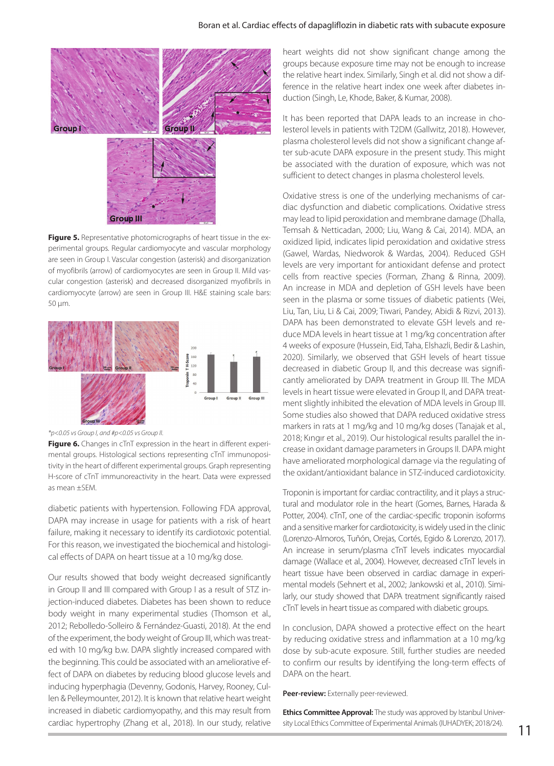## Boran et al. Cardiac effects of dapagliflozin in diabetic rats with subacute exposure



**Figure 5.** Representative photomicrographs of heart tissue in the experimental groups. Regular cardiomyocyte and vascular morphology are seen in Group I. Vascular congestion (asterisk) and disorganization of myofibrils (arrow) of cardiomyocytes are seen in Group II. Mild vascular congestion (asterisk) and decreased disorganized myofibrils in cardiomyocyte (arrow) are seen in Group III. H&E staining scale bars: 50 µm.



*\*p<0.05 vs Group I, and #p<0.05 vs Group II.*

**Figure 6.** Changes in cTnT expression in the heart in different experimental groups. Histological sections representing cTnT immunopositivity in the heart of different experimental groups. Graph representing H-score of cTnT immunoreactivity in the heart. Data were expressed as mean ±SEM.

diabetic patients with hypertension. Following FDA approval, DAPA may increase in usage for patients with a risk of heart failure, making it necessary to identify its cardiotoxic potential. For this reason, we investigated the biochemical and histological effects of DAPA on heart tissue at a 10 mg/kg dose.

Our results showed that body weight decreased significantly in Group II and III compared with Group I as a result of STZ injection-induced diabetes. Diabetes has been shown to reduce body weight in many experimental studies (Thomson et al., 2012; Rebolledo-Solleiro & Fernández-Guasti, 2018). At the end of the experiment, the body weight of Group III, which was treated with 10 mg/kg b.w. DAPA slightly increased compared with the beginning. This could be associated with an ameliorative effect of DAPA on diabetes by reducing blood glucose levels and inducing hyperphagia (Devenny, Godonis, Harvey, Rooney, Cullen & Pelleymounter, 2012). It is known that relative heart weight increased in diabetic cardiomyopathy, and this may result from cardiac hypertrophy (Zhang et al., 2018). In our study, relative

heart weights did not show significant change among the groups because exposure time may not be enough to increase the relative heart index. Similarly, Singh et al. did not show a difference in the relative heart index one week after diabetes induction (Singh, Le, Khode, Baker, & Kumar, 2008).

It has been reported that DAPA leads to an increase in cholesterol levels in patients with T2DM (Gallwitz, 2018). However, plasma cholesterol levels did not show a significant change after sub-acute DAPA exposure in the present study. This might be associated with the duration of exposure, which was not sufficient to detect changes in plasma cholesterol levels.

Oxidative stress is one of the underlying mechanisms of cardiac dysfunction and diabetic complications. Oxidative stress may lead to lipid peroxidation and membrane damage (Dhalla, Temsah & Netticadan, 2000; Liu, Wang & Cai, 2014). MDA, an oxidized lipid, indicates lipid peroxidation and oxidative stress (Gawel, Wardas, Niedworok & Wardas, 2004). Reduced GSH levels are very important for antioxidant defense and protect cells from reactive species (Forman, Zhang & Rinna, 2009). An increase in MDA and depletion of GSH levels have been seen in the plasma or some tissues of diabetic patients (Wei, Liu, Tan, Liu, Li & Cai, 2009; Tiwari, Pandey, Abidi & Rizvi, 2013). DAPA has been demonstrated to elevate GSH levels and reduce MDA levels in heart tissue at 1 mg/kg concentration after 4 weeks of exposure (Hussein, Eid, Taha, Elshazli, Bedir & Lashin, 2020). Similarly, we observed that GSH levels of heart tissue decreased in diabetic Group II, and this decrease was significantly ameliorated by DAPA treatment in Group III. The MDA levels in heart tissue were elevated in Group II, and DAPA treatment slightly inhibited the elevation of MDA levels in Group III. Some studies also showed that DAPA reduced oxidative stress markers in rats at 1 mg/kg and 10 mg/kg doses (Tanajak et al., 2018; Kıngır et al., 2019). Our histological results parallel the increase in oxidant damage parameters in Groups II. DAPA might have ameliorated morphological damage via the regulating of the oxidant/antioxidant balance in STZ-induced cardiotoxicity.

Troponin is important for cardiac contractility, and it plays a structural and modulator role in the heart (Gomes, Barnes, Harada & Potter, 2004). cTnT, one of the cardiac-specific troponin isoforms and a sensitive marker for cardiotoxicity, is widely used in the clinic (Lorenzo-Almoros, Tuñón, Orejas, Cortés, Egido & Lorenzo, 2017). An increase in serum/plasma cTnT levels indicates myocardial damage (Wallace et al., 2004). However, decreased cTnT levels in heart tissue have been observed in cardiac damage in experimental models (Sehnert et al., 2002; Jankowski et al., 2010). Similarly, our study showed that DAPA treatment significantly raised cTnT levels in heart tissue as compared with diabetic groups.

In conclusion, DAPA showed a protective effect on the heart by reducing oxidative stress and inflammation at a 10 mg/kg dose by sub-acute exposure. Still, further studies are needed to confirm our results by identifying the long-term effects of DAPA on the heart.

Peer-review: Externally peer-reviewed.

**Ethics Committee Approval:** The study was approved by Istanbul University Local Ethics Committee of Experimental Animals (IUHADYEK; 2018/24).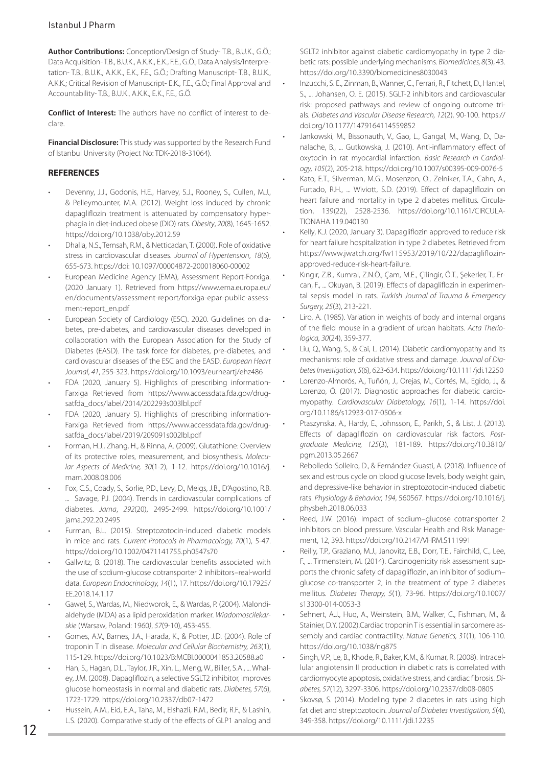**Author Contributions:** Conception/Design of Study- T.B., B.U.K., G.Ö.; Data Acquisition- T.B., B.U.K., A.K.K., E.K., F.E., G.Ö.; Data Analysis/Interpretation- T.B., B.U.K., A.K.K., E.K., F.E., G.Ö.; Drafting Manuscript- T.B., B.U.K., A.K.K.; Critical Revision of Manuscript- E.K., F.E., G.Ö.; Final Approval and Accountability- T.B., B.U.K., A.K.K., E.K., F.E., G.Ö.

**Conflict of Interest:** The authors have no conflict of interest to declare.

**Financial Disclosure:** This study was supported by the Research Fund of Istanbul University (Project No: TDK-2018-31064).

# **REFERENCES**

- Devenny, J.J., Godonis, H.E., Harvey, S.J., Rooney, S., Cullen, M.J., & Pelleymounter, M.A. (2012). Weight loss induced by chronic dapagliflozin treatment is attenuated by compensatory hyperphagia in diet‐induced obese (DIO) rats. *Obesity*, *20*(8), 1645-1652. https://doi.org/10.1038/oby.2012.59
- Dhalla, N.S., Temsah, R.M., & Netticadan, T. (2000). Role of oxidative stress in cardiovascular diseases. *Journal of Hypertension*, *18*(6), 655-673. https://doi: 10.1097/00004872-200018060-00002
- European Medicine Agency (EMA), Assessment Report-Forxiga. (2020 January 1). Retrieved from [https://www.ema.europa.eu/](https://www.ema.europa.eu/en/documents/assessment-report/forxiga-epar-public-assessment-report_en.pdf) [en/documents/assessment-report/forxiga-epar-public-assess](https://www.ema.europa.eu/en/documents/assessment-report/forxiga-epar-public-assessment-report_en.pdf)[ment-report\\_en.pdf](https://www.ema.europa.eu/en/documents/assessment-report/forxiga-epar-public-assessment-report_en.pdf)
- European Society of Cardiology (ESC). 2020. Guidelines on diabetes, pre-diabetes, and cardiovascular diseases developed in collaboration with the European Association for the Study of Diabetes (EASD). The task force for diabetes, pre-diabetes, and cardiovascular diseases of the ESC and the EASD. *European Heart Journal*, *41*, 255-323. https://doi.org/10.1093/eurheartj/ehz486
- FDA (2020, January 5). Highlights of prescribing information-Farxiga Retrieved from https://www.accessdata.fda.gov/drugsatfda\_docs/label/2014/202293s003lbl.pdf
- FDA (2020, January 5). Highlights of prescribing information-Farxiga Retrieved from [https://www.accessdata.fda.gov/drug](https://www.accessdata.fda.gov/drugsatfda_docs/label/2019/209091s002lbl.pdf)[satfda\\_docs/label/2019/209091s002lbl.pdf](https://www.accessdata.fda.gov/drugsatfda_docs/label/2019/209091s002lbl.pdf)
- Forman, H.J., Zhang, H., & Rinna, A. (2009). Glutathione: Overview of its protective roles, measurement, and biosynthesis. *Molecular Aspects of Medicine, 30*(1-2), 1-12. https://doi.org/10.1016/j. mam.2008.08.006
- Fox, C.S., Coady, S., Sorlie, P.D., Levy, D., Meigs, J.B., D'Agostino, R.B. ... Savage, P.J. (2004). Trends in cardiovascular complications of diabetes. *Jama*, *292*(20), 2495-2499. https://doi.org/10.1001/ jama.292.20.2495
- Furman, B.L. (2015). Streptozotocin‐induced diabetic models in mice and rats. *Current Protocols in Pharmacology, 70*(1), 5-47. https://doi.org/10.1002/0471141755.ph0547s70
- Gallwitz, B. (2018). The cardiovascular benefits associated with the use of sodium-glucose cotransporter 2 inhibitors–real-world data. *European Endocrinology, 14*(1), 17. https://doi.org/10.17925/ EE.2018.14.1.17
- Gaweł, S., Wardas, M., Niedworok, E., & Wardas, P. (2004). Malondialdehyde (MDA) as a lipid peroxidation marker. *Wiadomoscilekarskie* (Warsaw, Poland: 1960*)*, *57*(9-10), 453-455.
- Gomes, A.V., Barnes, J.A., Harada, K., & Potter, J.D. (2004). Role of troponin T in disease. *Molecular and Cellular Biochemistry, 263*(1), 115-129. https://doi.org/10.1023/B:MCBI.0000041853.20588.a0
- Han, S., Hagan, D.L., Taylor, J.R., Xin, L., Meng, W., Biller, S.A., ... Whaley, J.M. (2008). Dapagliflozin, a selective SGLT2 inhibitor, improves glucose homeostasis in normal and diabetic rats. *Diabetes, 57*(6), 1723-1729. https://doi.org/10.2337/db07-1472
- Hussein, A.M., Eid, E.A., Taha, M., Elshazli, R.M., Bedir, R.F., & Lashin, L.S. (2020). Comparative study of the effects of GLP1 analog and

SGLT2 inhibitor against diabetic cardiomyopathy in type 2 diabetic rats: possible underlying mechanisms. *Biomedicines, 8*(3), 43. https://doi.org/10.3390/biomedicines8030043

- Inzucchi, S. E., Zinman, B., Wanner, C., Ferrari, R., Fitchett, D., Hantel, S., ... Johansen, O. E. (2015). SGLT-2 inhibitors and cardiovascular risk: proposed pathways and review of ongoing outcome trials. *Diabetes and Vascular Disease Research, 12*(2), 90-100. https:// doi.org/10.1177/1479164114559852
- Jankowski, M., Bissonauth, V., Gao, L., Gangal, M., Wang, D., Danalache, B., ... Gutkowska, J. (2010). Anti-inflammatory effect of oxytocin in rat myocardial infarction. *Basic Research in Cardiology, 105*(2), 205-218. https://doi.org/10.1007/s00395-009-0076-5
- Kato, E.T., Silverman, M.G., Mosenzon, O., Zelniker, T.A., Cahn, A., Furtado, R.H., ... Wiviott, S.D. (2019). Effect of dapagliflozin on heart failure and mortality in type 2 diabetes mellitus. Circulation, 139(22), 2528-2536. https://doi.org/10.1161/CIRCULA-TIONAHA.119.040130
- Kelly, K.J. (2020, January 3). Dapagliflozin approved to reduce risk for heart failure hospitalization in type 2 diabetes. Retrieved from [https://www.jwatch.org/fw115953/2019/10/22/dapagliflozin](https://www.jwatch.org/fw115953/2019/10/22/dapagliflozin-approved-reduce-risk-heart-failure)[approved-reduce-risk-heart-failure.](https://www.jwatch.org/fw115953/2019/10/22/dapagliflozin-approved-reduce-risk-heart-failure)
- Kıngır, Z.B., Kumral, Z.N.Ö., Çam, M.E., Çilingir, Ö.T., Şekerler, T., Ercan, F., ... Okuyan, B. (2019). Effects of dapagliflozin in experimental sepsis model in rats. *Turkish Journal of Trauma & Emergency Surgery, 25*(3), 213-221.
- Liro, A. (1985). Variation in weights of body and internal organs of the field mouse in a gradient of urban habitats. *Acta Theriologica, 30*(24), 359-377.
- Liu, Q., Wang, S., & Cai, L. (2014). Diabetic cardiomyopathy and its mechanisms: role of oxidative stress and damage. *Journal of Diabetes Investigation, 5*(6), 623-634. https://doi.org/10.1111/jdi.12250
- Lorenzo-Almorós, A., Tuñón, J., Orejas, M., Cortés, M., Egido, J., & Lorenzo, Ó. (2017). Diagnostic approaches for diabetic cardiomyopathy. *Cardiovascular Diabetology, 16*(1), 1-14. https://doi. org/10.1186/s12933-017-0506-x
- Ptaszynska, A., Hardy, E., Johnsson, E., Parikh, S., & List, J. (2013). Effects of dapagliflozin on cardiovascular risk factors. *Postgraduate Medicine, 125*(3), 181-189. https://doi.org/10.3810/ pgm.2013.05.2667
- Rebolledo-Solleiro, D., & Fernández-Guasti, A. (2018). Influence of sex and estrous cycle on blood glucose levels, body weight gain, and depressive-like behavior in streptozotocin-induced diabetic rats. *Physiology & Behavior, 194*, 560567. [https://doi.org/10.1016/j.](https://doi.org/10.1016/j.physbeh.2018.06.033) [physbeh.2018.06.033](https://doi.org/10.1016/j.physbeh.2018.06.033)
- Reed, J.W. (2016). Impact of sodium-glucose cotransporter 2 inhibitors on blood pressure. Vascular Health and Risk Management, 12, 393. https://doi.org/10.2147/VHRM.S111991
- Reilly, T.P., Graziano, M.J., Janovitz, E.B., Dorr, T.E., Fairchild, C., Lee, F., ... Tirmenstein, M. (2014). Carcinogenicity risk assessment supports the chronic safety of dapagliflozin, an inhibitor of sodium– glucose co-transporter 2, in the treatment of type 2 diabetes mellitus. *Diabetes Therapy, 5*(1), 73-96. https://doi.org/10.1007/ s13300-014-0053-3
- Sehnert, A.J., Huq, A., Weinstein, B.M., Walker, C., Fishman, M., & Stainier, D.Y. (2002).Cardiac troponin T is essential in sarcomere assembly and cardiac contractility. *Nature Genetics, 31*(1), 106-110. https://doi.org/10.1038/ng875
- Singh, V.P., Le, B., Khode, R., Baker, K.M., & Kumar, R. (2008). Intracellular angiotensin II production in diabetic rats is correlated with cardiomyocyte apoptosis, oxidative stress, and cardiac fibrosis. *Diabetes, 57*(12), 3297-3306. https://doi.org/10.2337/db08-0805
- Skovsø, S. (2014). Modeling type 2 diabetes in rats using high fat diet and streptozotocin. *Journal of Diabetes Investigation, 5*(4), 349-358. https://doi.org/10.1111/jdi.12235